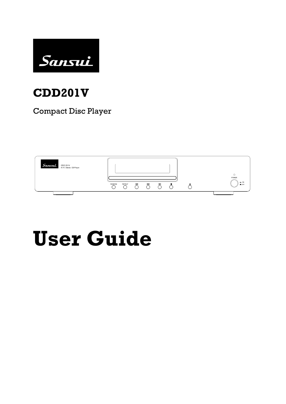

## **CDD201V**

Compact Disc Player



# **User Guide**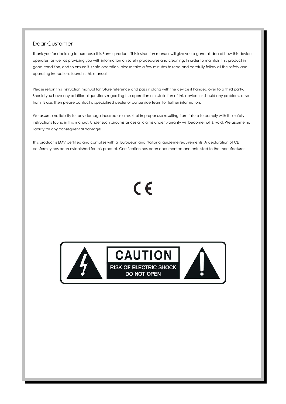#### Dear Customer

Thank you for deciding to purchase this Sansui product. This instruction manual will give you a general idea of how this device operates, as well as providing you with information on safety procedures and cleaning. In order to maintain this product in good condition, and to ensure it's safe operation, please take a few minutes to read and carefully follow all the safety and operating instructions found in this manual.

Please retain this instruction manual for future reference and pass it along with the device if handed over to a third party. Should you have any additional questions regarding the operation or installation of this device, or should any problems arise from its use, then please contact a specialized dealer or our service team for further information.

We assume no liability for any damage incurred as a result of improper use resulting from failure to comply with the safety instructions found in this manual. Under such circumstances all claims under warranty will become null & void. We assume no liability for any consequential damage!

This product is EMV certified and complies with all European and National guideline requirements. A declaration of CE conformity has been established for this product. Certification has been documented and entrusted to the manufacturer

## CE



**CAUTION RISK OF ELECTRIC SHOCK** DO NOT OPEN

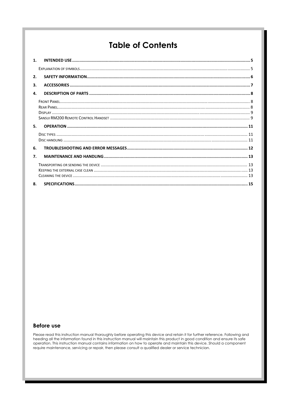## **Table of Contents**

| 1 <sub>1</sub>   |  |
|------------------|--|
|                  |  |
| 2.               |  |
| 3.               |  |
| 4.               |  |
|                  |  |
|                  |  |
| 5.               |  |
|                  |  |
|                  |  |
| 6.               |  |
| $\overline{7}$ . |  |
|                  |  |
|                  |  |
|                  |  |

#### **Before use**

Please read this instruction manual thoroughly before operating this device and retain it for further reference. Following and heeding all the information found in this instruction manual will maintain this product in good condition and ensure its safe operation. This instruction manual contains information on how to operate and maintain this device. Should a component require maintenance, servicing or repair, then please consult a qualified dealer or service technician.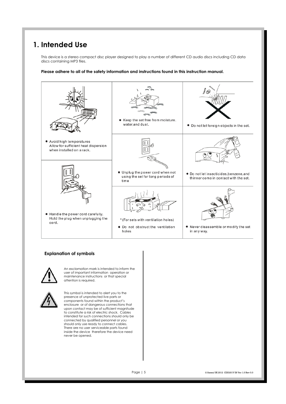### **1. Intended Use**

This device is a stereo compact disc player designed to play a number of different CD audio discs including CD data discs containing MP3 files.

**Please adhere to all of the safety information and instructions found in this instruction manual.** 



#### **Explanation of symbols**



An exclamation mark is intended to inform the user of important information operation or maintenance instructions or that special attention is required.



This symbol is intended to alert you to the presence of unprotected live parts or components found within the product's enclosure or of dangerous connections that upon contact may be of sufficient magnitude to constitute a risk of electric shock. Cables intended for such connections should only be connected by qualified personnel or you should only use ready to connect cables. There are no user serviceable parts found inside the device therefore the device need never be opened.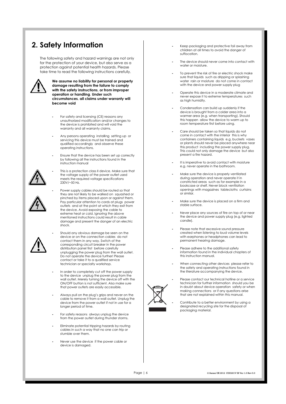## **2. Safety Information**

The following safety and hazard warnings are not only for the protection of your device, but also serve as a protection against potential health hazards. Please take time to read the following instructions carefully.



**We assume no liability for personal or property damage resulting from the failure to comply with the safety instructions**, **or from improper operation or handling**. **Under such circumstances**, **all claims under warranty will become void** 

- **-** For safety and licensing (CE) reasons any unauthorized modification and/or changes to the device is prohibited and will void the warranty and all warranty claims.
- **-** Any persons operating installing setting up or servicing this device must be trained and qualified accordingly and observe these operating instructions.
- **-** Ensure that the device has been set up correctly by following all the instructions found in the instruction manual



**-** This is a protection class II device. Make sure that the voltage supply of the power outlet used meets the required voltage specifications 230V/~50 Hz.



**-** Power supply cables should be routed so that they are not likely to be walked on squashed or pinched by items placed upon or against them. Pay particular attention to cords at plugs power outlets and at the point at which they exit from the device. Avoid exposing the cable to extreme heat or cold. Ignoring the above mentioned instructions could result in cable damage and present the danger of an electric shock.



**-** Should any obvious damage be seen on the device or on the connection cables do not contact them in any way. Switch of the corresponding circuit breaker in the power distribution panel first before carefully unplugging the power plug from the wall outlet. Do not operate the device further! Please contact or take it to a qualified service technician or specialty workshop.

- In order to completely cut off the power supply to the device unplug the power plug from the wall outlet. Merely turning the device off with the ON/OFF button is not sufficient. Also make sure that power outlets are easily accessible.
- Always pull on the plug's grips and never on the cable to remove it from a wall outlet. Unplug the device from the power outlet if not in use for a longer period of time.
- For safety reasons always unplug the device from the power outlet during thunder storms.
- Eliminate potential tripping hazards by routing cables in such a way that no one can trip or stumble over them.
- Never use the device if the power cable or device is damaged.
- Keep packaging and protective foil away from children at all times to avoid the danger of suffocation.
- The device should never come into contact with water or moisture.
- To prevent the risk of fire or electric shock make sure that liquids such as dripping or splashing water rain or moisture do not come in contact with the device and power supply plug
- Operate this device in a moderate climate and never expose it to extreme temperatures such as high humidity.
- Condensation can build up suddenly if the device is brought from a colder area into a warmer area (e.g. when transporting). Should this happen allow the device to warm up to room temperature first before using.
- Care should be taken so that liquids do not come in contact with the interior this is why containers containing liquids e.g. buckets vases or plants should never be placed anywhere near this product including the power supply plug. This could not only damage the device but also present a fire hazard.
- It is imperative to avoid contact with moisture e.g. never operate in the bathroom.
- Make sure the device is properly ventilated during operation and never operate it in constricted areas such as for example in a bookcase or shelf. Never block ventilation openings with magazines tablecloths curtains or similar.
- Make sure the device is placed on a firm and stable surface.
- Never place any sources of fire on top of or near the device and power supply plug (e.g. lighted candle).
- Please note that excessive sound pressure created when listening to loud volume levels with earphones or headphones can lead to permanent hearing damage.
- Please adhere to the additional safety information found in the individual chapters of this instruction manual.
- When connecting other devices please refer to the safety and operating instructions found in the literature accompanying the device.



- Please contact our technical hotline or a service technician for further information should you be in doubt about device operation safety or when making connections or if any questions arise that are not explained within this manual.
- Contribute to a better environment by using a designated recycling site for the disposal of packaging material.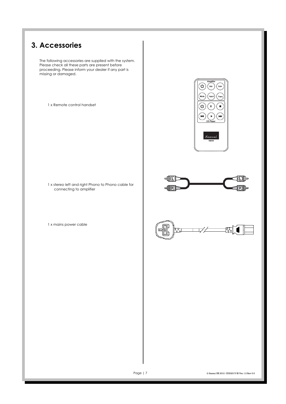## **3. Accessories**

The following accessories are supplied with the system. Please check all these parts are present before proceeding. Please inform your dealer if any part is missing or damaged.

1 x Remote control handset



1 x stereo left and right Phono to Phono cable for connecting to amplifier

1 x mains power cable



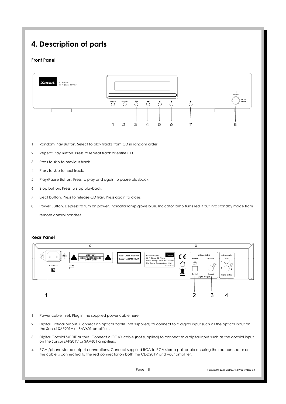## **4. Description of parts**

#### **Front Panel**



- 1 Random Play Button. Select to play tracks from CD in random order.
- 2 Repeat Play Button. Press to repeat track or entire CD.
- 3 Press to skip to previous track.
- 4 Press to skip to next track.
- 5 Play/Pause Button. Press to play and again to pause playback.
- 6 Stop button. Press to stop playback.
- 7 Eject button. Press to release CD tray. Press again to close.
- 8 Power Button. Depress to turn on power. Indicator lamp glows blue. Indicator lamp turns red if put into standby mode from remote control handset.

#### **Rear Panel**



- 1. Power cable inlet: Plug in the supplied power cable here.
- 2. Digital Optical output. Connect an optical cable (not supplied) to connect to a digital input such as the optical input on the Sansui SAP201V or SAV601 amplifiers.
- 3. Digital Coaxial S/PDIF output. Connect a COAX cable (not supplied) to connect to a digital input such as the coaxial input on the Sansui SAP201V or SAV601 amplifiers.
- 4. RCA /phono stereo output connections. Connect supplied RCA to RCA stereo pair cable ensuring the red connector on the cable is connected to the red connector on both the CDD201V and your amplifier.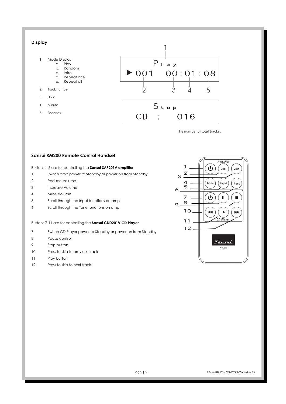#### **Display**  1. Mode Display  $P_{1}$ <sup> $\overline{a}$ </sup> y a. Play b. Random  $\triangleright$  001  $00:01:08$ c. Intro<br>d. Repe Repeat one e. Repeat all 2. Track number  $\overline{2}$ 3  $\overline{\mathcal{L}}$ 5 3. Hour  $S$ <sub>top</sub> 4. Minute 5. Seconds  $CD$  $\sim 200$  km s  $^{-1}$ 016

The number of total tracks.

#### **Sansui RM200 Remote Control Handset**

Buttons 1 6 are for controlling the **Sansui SAP201V amplifier**

- 1 Switch amp power to Standby or power on from Standby
- 2 Reduce Volume
- 3 Increase Volume
- 4 Mute Volume
- 5 Scroll through the Input functions on amp
- 6 Scroll through the Tone functions on amp

Buttons 7 11 are for controlling the **Sansui CDD201V CD Player** 

- 7 Switch CD Player power to Standby or power on from Standby
- 8 Pause control
- 9 Stop button
- 10 Press to skip to previous track.
- 11 Play button
- 12 Press to skip to next track.

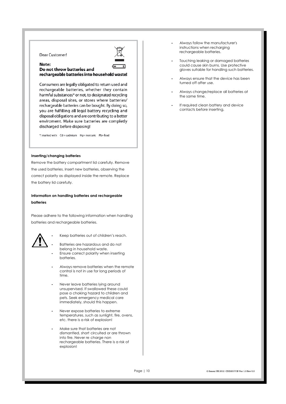#### Dear Customer!

#### Note: Do not throw batteries and rechargeable batteries into household waste!

Consumers are legally obligated to return used and rechargeable batteries, whether they contain harmful substances\* or not, to designated recycling areas, disposal sites, or stores where batteries/ rechargeable batteries can be bought. By doing so, you are fulfilling all legal battery recycling and disposal obligations and are contributing to a better enviroment. Make sure batteries are completly discharged before disposing!

\*) marked with Cd = cadmium Hg= mercuric Pb= lead

#### **Inserting/changing batteries**

Remove the battery compartment lid carefully. Remove the used batteries. Insert new batteries, observing the correct polarity as displayed inside the remote. Replace the battery lid carefully.

**Information on handling batteries and rechargeable batteries** 

Please adhere to the following information when handling batteries and rechargeable batteries.



**-** Keep batteries out of children's reach.

- Batteries are hazardous and do not belong in household waste. **-** Ensure correct polarity when inserting batteries.
- Always remove batteries when the remote control is not in use for long periods of time.
- Never leave batteries lying around unsupervised. If swallowed these could pose a choking hazard to children and pets. Seek emergency medical care immediately, should this happen.
- Never expose batteries to extreme temperatures, such as sunlight, fire, ovens, etc. there is a risk of explosion!
- Make sure that batteries are not dismantled, short circuited or are thrown into fire. Never re charge non rechargeable batteries. There is a risk of explosion!
- Always follow the manufacturer's instructions when recharging rechargeable batteries.
- Touching leaking or damaged batteries could cause skin burns. Use protective gloves suitable for handling such batteries.
- Always ensure that the device has been turned off after use.
- Always change/replace all batteries at the same time.
- If required clean battery and device contacts before inserting,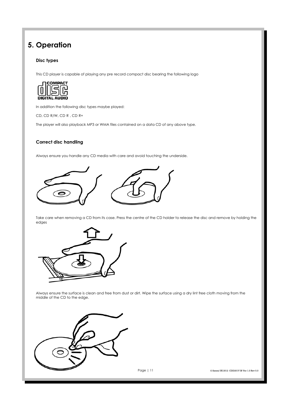## **5. Operation**

#### **Disc types**

This CD player is capable of playing any pre record compact disc bearing the following logo



In addition the following disc types maybe played:

CD, CD R/W, CD R , CD R+

The player will also playback MP3 or WMA files contained on a data CD of any above type.

#### **Correct disc handling**

Always ensure you handle any CD media with care and avoid touching the underside.



Take care when removing a CD from its case. Press the centre of the CD holder to release the disc and remove by holding the edges



Always ensure the surface is clean and free from dust or dirt. Wipe the surface using a dry lint free cloth moving from the middle of the CD to the edge.



Page | 11 © Sansui UK 2012 CDD201V IB Ver 1.0 Rev 0.0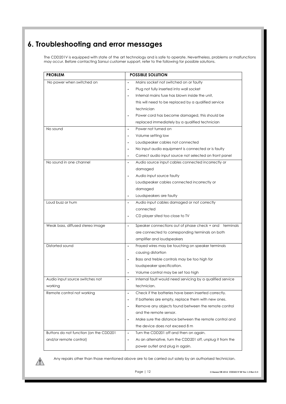## **6. Troubleshooting and error messages**

The CDD201V is equipped with state of the art technology and is safe to operate. Nevertheless, problems or malfunctions may occur. Before contacting Sansui customer support, refer to the following for possible solutions.

| <b>PROBLEM</b>                         | <b>POSSIBLE SOLUTION</b>                                                     |
|----------------------------------------|------------------------------------------------------------------------------|
| No power when switched on              | Mains socket not switched on or faulty                                       |
|                                        | Plug not fully inserted into wall socket<br>٠                                |
|                                        | Internal mains fuse has blown inside the unit,                               |
|                                        | this will need to be replaced by a qualified service                         |
|                                        | technician                                                                   |
|                                        | Power cord has become damaged, this should be                                |
|                                        | replaced immediately by a qualified technician                               |
| No sound                               | Power not turned on<br>$\blacksquare$                                        |
|                                        | Volume setting low                                                           |
|                                        | Loudspeaker cables not connected                                             |
|                                        | No input audio equipment is connected or is faulty                           |
|                                        | Correct audio input source not selected on front panel<br>$\blacksquare$     |
| No sound in one channel                | Audio source input cables connected incorrectly or<br>$\blacksquare$         |
|                                        | damaged                                                                      |
|                                        | Audio input source faulty<br>$\blacksquare$                                  |
|                                        | Loudspeaker cables connected incorrectly or                                  |
|                                        | damaged                                                                      |
|                                        | Loudspeakers are faulty                                                      |
| Loud buzz or hum                       | Audio input cables damaged or not correctly<br>$\blacksquare$                |
|                                        | connected                                                                    |
|                                        | CD player sited too close to TV                                              |
| Weak bass, diffused stereo image       | Speaker connections out of phase check + and terminals<br>$\blacksquare$     |
|                                        | are connected to corresponding terminals on both                             |
|                                        | amplifier and loudspeakers                                                   |
| Distorted sound                        | Frayed wires may be touching on speaker terminals<br>$\blacksquare$          |
|                                        | causing distortion                                                           |
|                                        | Bass and treble controls may be too high for                                 |
|                                        | loudspeaker specification.                                                   |
|                                        | Volume control may be set too high                                           |
| Audio input source switches not        | Internal fault would need servicing by a qualified service<br>٠              |
| working                                | technician.                                                                  |
| Remote control not working             | Check if the batteries have been inserted correctly.<br>$\blacksquare$       |
|                                        | If batteries are empty, replace them with new ones.<br>$\blacksquare$        |
|                                        | Remove any objects found between the remote control                          |
|                                        | and the remote sensor.                                                       |
|                                        | Make sure the distance between the remote control and                        |
|                                        | the device does not exceed 8 m                                               |
| Buttons do not function (on the CDD201 | Turn the CDD201 off and then on again.<br>$\blacksquare$                     |
| and/or remote control)                 | As an alternative, turn the CDD201 off, unplug it from the<br>$\blacksquare$ |
|                                        | power outlet and plug in again.                                              |



Any repairs other than those mentioned above are to be carried out solely by an authorised technician.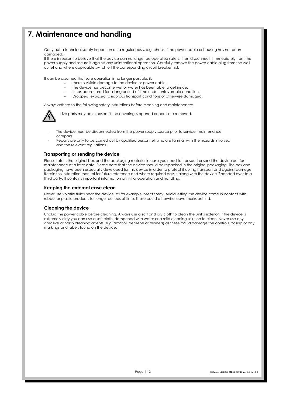## **7. Maintenance and handling**

Carry out a technical safety inspection on a regular basis, e.g. check if the power cable or housing has not been damaged.

If there is reason to believe that the device can no longer be operated safely, then disconnect it immediately from the power supply and secure it against any unintentional operation. Carefully remove the power cable plug from the wall outlet and where applicable switch off the corresponding circuit breaker first.

It can be assumed that safe operation is no longer possible, if:

- **-** there is visible damage to the device or power cable,
- **-** the device has become wet or water has been able to get inside.
- **-** it has been stored for a long period of time under unfavorable conditions
- **-** Dropped, exposed to rigorous transport conditions or otherwise damaged.

Always adhere to the following safety instructions before cleaning and maintenance:

Live parts may be exposed, if the covering is opened or parts are removed.

- **-** The device must be disconnected from the power supply source prior to service, maintenance or repairs.
- **-** Repairs are only to be carried out by qualified personnel, who are familiar with the hazards involved and the relevant regulations.

#### **Transporting or sending the device**

Please retain the original box and the packaging material in case you need to transport or send the device out for maintenance at a later date. Please note that the device should be repacked in the original packaging. The box and packaging have been especially developed for this device in order to protect it during transport and against damage. Retain this instruction manual for future reference and where required pass it along with the device if handed over to a third party. It contains important information on initial operation and handling.

#### **Keeping the external case clean**

Never use volatile fluids near the device, as for example insect spray. Avoid letting the device come in contact with rubber or plastic products for longer periods of time. These could otherwise leave marks behind.

#### **Cleaning the device**

Unplug the power cable before cleaning. Always use a soft and dry cloth to clean the unit's exterior. If the device is extremely dirty you can use a soft cloth, dampened with water or a mild cleaning solution to clean. Never use any abrasive or harsh cleaning agents (e.g. alcohol, benzene or thinners) as these could damage the controls, casing or any markings and labels found on the device.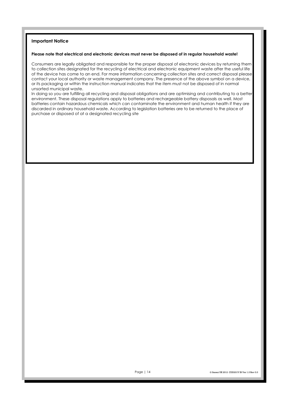#### **Important Notice**

#### **Please note that electrical and electronic devices must never be disposed of in regular household waste!**

Consumers are legally obligated and responsible for the proper disposal of electronic devices by returning them to collection sites designated for the recycling of electrical and electronic equipment waste after the useful life of the device has come to an end. For more information concerning collection sites and correct disposal please contact your local authority or waste management company. The presence of the above symbol on a device, or its packaging or within the instruction manual indicates that the item must not be disposed of in normal unsorted municipal waste.

In doing so you are fulfilling all recycling and disposal obligations and are optimising and contributing to a better environment. These disposal regulations apply to batteries and rechargeable battery disposals as well. Most batteries contain hazardous chemicals which can contaminate the environment and human health if they are discarded in ordinary household waste. According to legislation batteries are to be returned to the place of purchase or disposed of at a designated recycling site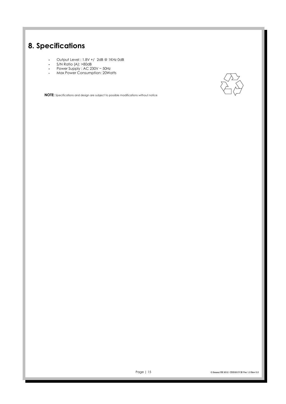## **8. Specifications**

- **-** Output Level : 1.8V +/ 2dB @ 1KHz 0dB
- **-** S/N Ratio (A): >80dB
- **-** Power Supply : AC 230V ~ 50Hz
- **-** Max Power Consumption: 20Watts



**NOTE:** Specifications and design are subject to possible modifications without notice